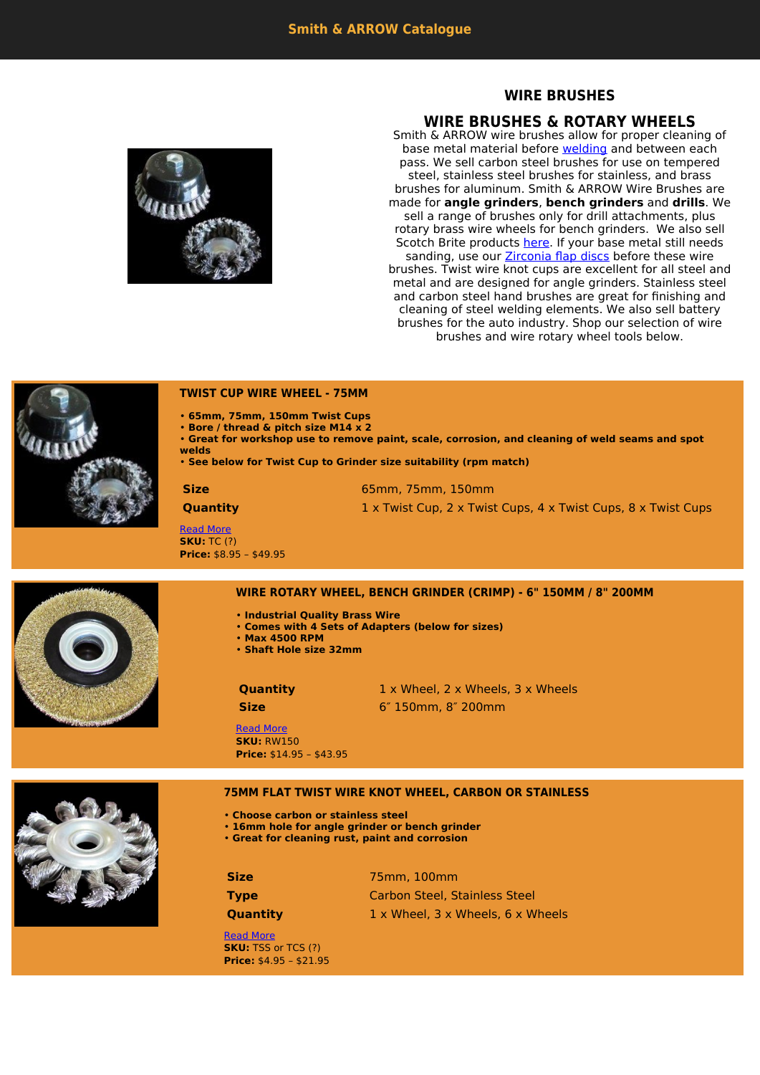# **WIRE BRUSHES**

# **WIRE BRUSHES & ROTARY WHEELS**

Smith & ARROW wire brushes allow for proper cleaning of base metal material before [welding](https://www.smithandarrow.com.au/product-category/welding-wire/) and between each pass. We sell carbon steel brushes for use on tempered steel, stainless steel brushes for stainless, and brass brushes for aluminum. Smith & ARROW Wire Brushes are made for **angle grinders**, **bench grinders** and **drills**. We sell a range of brushes only for drill attachments, plus rotary brass wire wheels for bench grinders. We also sell Scotch Brite products [here.](https://www.smithandarrow.com.au/product-category/scotchbrite-products/) If your base metal still needs sanding, use our **[Zirconia flap discs](https://www.smithandarrow.com.au/product-category/flap-discs/)** before these wire brushes. Twist wire knot cups are excellent for all steel and metal and are designed for angle grinders. Stainless steel and carbon steel hand brushes are great for finishing and cleaning of steel welding elements. We also sell battery brushes for the auto industry. Shop our selection of wire brushes and wire rotary wheel tools below.





### **TWIST CUP WIRE WHEEL - 75MM**

- **65mm, 75mm, 150mm Twist Cups**
- **Bore / thread & pitch size M14 x 2**
- **Great for workshop use to remove paint, scale, corrosion, and cleaning of weld seams and spot welds**
- **See below for Twist Cup to Grinder size suitability (rpm match)**

**Size** 65mm, 75mm, 150mm **Quantity** 1 x Twist Cup, 2 x Twist Cups, 4 x Twist Cups, 8 x Twist Cups

[Read More](https://www.smithandarrow.com.au/product/wire-brushes/machine-brushes/twist-cup-metal-wire-wheel/) **SKU:** TC (?) **Price:** \$8.95 – \$49.95



### **WIRE ROTARY WHEEL, BENCH GRINDER (CRIMP) - 6" 150MM / 8" 200MM**

- **Industrial Quality Brass Wire**
- **Comes with 4 Sets of Adapters (below for sizes)**
	- **Max 4500 RPM**
	- **Shaft Hole size 32mm**

**Quantity** 1 x Wheel, 2 x Wheels, 3 x Wheels **Size** 6″ 150mm, 8″ 200mm

### [Read More](https://www.smithandarrow.com.au/product/wire-brushes/machine-brushes/wire-rotary-wheel-bench-grinder-crimp-6-150mm-8-200mm/) **SKU:** RW150 **Price:** \$14.95 – \$43.95

## **75MM FLAT TWIST WIRE KNOT WHEEL, CARBON OR STAINLESS**

- **Choose carbon or stainless steel**
- **16mm hole for angle grinder or bench grinder**
- **Great for cleaning rust, paint and corrosion**

**Size** 75mm, 100mm **Type** Carbon Steel, Stainless Steel **Quantity** 1 x Wheel, 3 x Wheels, 6 x Wheels

[Read More](https://www.smithandarrow.com.au/product/wire-brushes/machine-brushes/twist-wire-knot-wheel-carbon-or-stainless/) **SKU:** TSS or TCS (?) **Price:** \$4.95 – \$21.95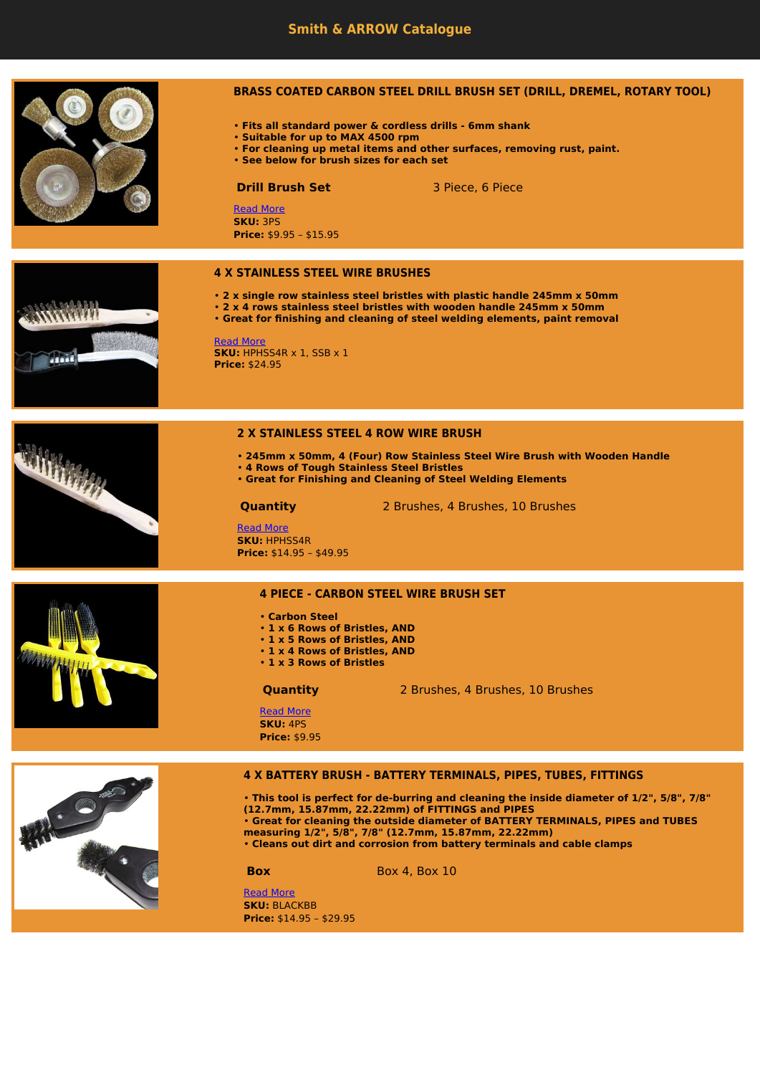

# **BRASS COATED CARBON STEEL DRILL BRUSH SET (DRILL, DREMEL, ROTARY TOOL)**

- **Fits all standard power & cordless drills 6mm shank**
- **Suitable for up to MAX 4500 rpm**
- **For cleaning up metal items and other surfaces, removing rust, paint.**
- **See below for brush sizes for each set**

**Drill Brush Set** 3 Piece, 6 Piece

[Read More](https://www.smithandarrow.com.au/product/wire-brushes/machine-brushes/rotary-wheel-copy/) **SKU:** 3PS **Price:** \$9.95 – \$15.95

### **4 X STAINLESS STEEL WIRE BRUSHES**

- **2 x single row stainless steel bristles with plastic handle 245mm x 50mm**
- **2 x 4 rows stainless steel bristles with wooden handle 245mm x 50mm**
- **Great for finishing and cleaning of steel welding elements, paint removal**

**Edda** 

[Read More](https://www.smithandarrow.com.au/product/wire-brushes/hand-held/2-x-stainless-steel-wire-brushes/) **SKU:** HPHSS4R x 1, SSB x 1 **Price:** \$24.95

### **2 X STAINLESS STEEL 4 ROW WIRE BRUSH**

- **245mm x 50mm, 4 (Four) Row Stainless Steel Wire Brush with Wooden Handle**
- **4 Rows of Tough Stainless Steel Bristles**
- **Great for Finishing and Cleaning of Steel Welding Elements**

**Quantity** 2 Brushes, 4 Brushes, 10 Brushes



[Read More](https://www.smithandarrow.com.au/product/wire-brushes/hand-held/stainless-steel-4-row-wire-brush/) **SKU:** HPHSS4R **Price:** \$14.95 – \$49.95

### **4 PIECE - CARBON STEEL WIRE BRUSH SET**

- **Carbon Steel**
- **1 x 6 Rows of Bristles, AND**
- **1 x 5 Rows of Bristles, AND**
- **1 x 4 Rows of Bristles, AND**
- **1 x 3 Rows of Bristles**

**Quantity** 2 Brushes, 4 Brushes, 10 Brushes

[Read More](https://www.smithandarrow.com.au/product/wire-brushes/hand-held/4-piece-carbon-steel-wire-brush-set/) **SKU:** 4PS **Price:** \$9.95

## **4 X BATTERY BRUSH - BATTERY TERMINALS, PIPES, TUBES, FITTINGS**



• **This tool is perfect for de-burring and cleaning the inside diameter of 1/2", 5/8", 7/8" (12.7mm, 15.87mm, 22.22mm) of FITTINGS and PIPES** • **Great for cleaning the outside diameter of BATTERY TERMINALS, PIPES and TUBES measuring 1/2", 5/8", 7/8" (12.7mm, 15.87mm, 22.22mm)** • **Cleans out dirt and corrosion from battery terminals and cable clamps**

**Box** Box 4, Box 10

[Read More](https://www.smithandarrow.com.au/product/wire-brushes/hand-held/4-x-battery-brush-battery-terminals-pipes-tubes-fittings/) **SKU: BLACKBB Price:** \$14.95 – \$29.95